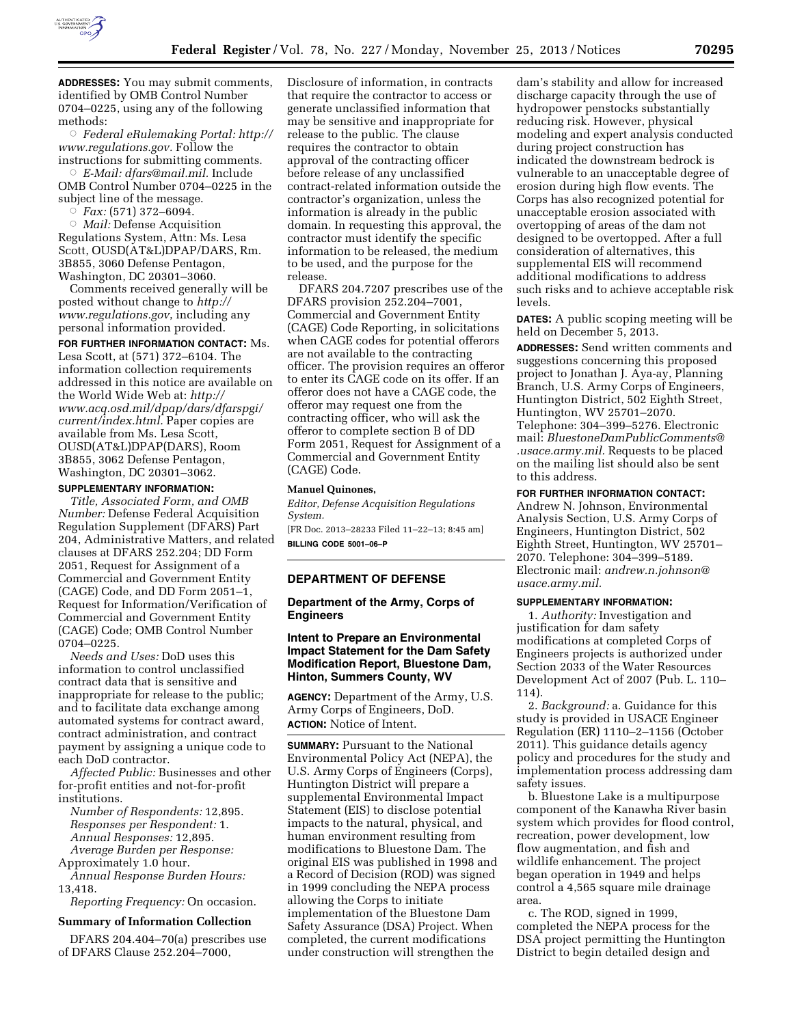

**ADDRESSES:** You may submit comments, identified by OMB Control Number 0704–0225, using any of the following methods:

Æ *Federal eRulemaking Portal: [http://](http://www.regulations.gov)  [www.regulations.gov.](http://www.regulations.gov)* Follow the instructions for submitting comments.

Æ *E-Mail: [dfars@mail.mil.](mailto:dfars@mail.mil)* Include OMB Control Number 0704–0225 in the subject line of the message.

Æ *Fax:* (571) 372–6094.

Æ *Mail:* Defense Acquisition Regulations System, Attn: Ms. Lesa Scott, OUSD(AT&L)DPAP/DARS, Rm. 3B855, 3060 Defense Pentagon, Washington, DC 20301–3060.

Comments received generally will be posted without change to *[http://](http://www.regulations.gov) [www.regulations.gov](http://www.regulations.gov)*, including any personal information provided.

**FOR FURTHER INFORMATION CONTACT:** Ms. Lesa Scott, at (571) 372–6104. The information collection requirements addressed in this notice are available on the World Wide Web at: *[http://](http://www.acq.osd.mil/dpap/dars/dfarspgi/current/index.html) [www.acq.osd.mil/dpap/dars/dfarspgi/](http://www.acq.osd.mil/dpap/dars/dfarspgi/current/index.html) [current/index.html.](http://www.acq.osd.mil/dpap/dars/dfarspgi/current/index.html)* Paper copies are available from Ms. Lesa Scott, OUSD(AT&L)DPAP(DARS), Room 3B855, 3062 Defense Pentagon, Washington, DC 20301–3062.

#### **SUPPLEMENTARY INFORMATION:**

*Title, Associated Form, and OMB Number:* Defense Federal Acquisition Regulation Supplement (DFARS) Part 204, Administrative Matters, and related clauses at DFARS 252.204; DD Form 2051, Request for Assignment of a Commercial and Government Entity (CAGE) Code, and DD Form 2051–1, Request for Information/Verification of Commercial and Government Entity (CAGE) Code; OMB Control Number 0704–0225.

*Needs and Uses:* DoD uses this information to control unclassified contract data that is sensitive and inappropriate for release to the public; and to facilitate data exchange among automated systems for contract award, contract administration, and contract payment by assigning a unique code to each DoD contractor.

*Affected Public:* Businesses and other for-profit entities and not-for-profit institutions.

*Number of Respondents:* 12,895. *Responses per Respondent:* 1. *Annual Responses:* 12,895. *Average Burden per Response:* 

Approximately 1.0 hour.

*Annual Response Burden Hours:*  13,418.

*Reporting Frequency:* On occasion.

### **Summary of Information Collection**

DFARS 204.404–70(a) prescribes use of DFARS Clause 252.204–7000,

Disclosure of information, in contracts that require the contractor to access or generate unclassified information that may be sensitive and inappropriate for release to the public. The clause requires the contractor to obtain approval of the contracting officer before release of any unclassified contract-related information outside the contractor's organization, unless the information is already in the public domain. In requesting this approval, the contractor must identify the specific information to be released, the medium to be used, and the purpose for the release.

DFARS 204.7207 prescribes use of the DFARS provision 252.204–7001, Commercial and Government Entity (CAGE) Code Reporting, in solicitations when CAGE codes for potential offerors are not available to the contracting officer. The provision requires an offeror to enter its CAGE code on its offer. If an offeror does not have a CAGE code, the offeror may request one from the contracting officer, who will ask the offeror to complete section B of DD Form 2051, Request for Assignment of a Commercial and Government Entity (CAGE) Code.

### **Manuel Quinones,**

*Editor, Defense Acquisition Regulations System.* 

[FR Doc. 2013–28233 Filed 11–22–13; 8:45 am] **BILLING CODE 5001–06–P** 

## **DEPARTMENT OF DEFENSE**

**Department of the Army, Corps of Engineers** 

# **Intent to Prepare an Environmental Impact Statement for the Dam Safety Modification Report, Bluestone Dam, Hinton, Summers County, WV**

**AGENCY:** Department of the Army, U.S. Army Corps of Engineers, DoD. **ACTION:** Notice of Intent.

**SUMMARY: Pursuant to the National** Environmental Policy Act (NEPA), the U.S. Army Corps of Engineers (Corps), Huntington District will prepare a supplemental Environmental Impact Statement (EIS) to disclose potential impacts to the natural, physical, and human environment resulting from modifications to Bluestone Dam. The original EIS was published in 1998 and a Record of Decision (ROD) was signed in 1999 concluding the NEPA process allowing the Corps to initiate implementation of the Bluestone Dam Safety Assurance (DSA) Project. When completed, the current modifications under construction will strengthen the

dam's stability and allow for increased discharge capacity through the use of hydropower penstocks substantially reducing risk. However, physical modeling and expert analysis conducted during project construction has indicated the downstream bedrock is vulnerable to an unacceptable degree of erosion during high flow events. The Corps has also recognized potential for unacceptable erosion associated with overtopping of areas of the dam not designed to be overtopped. After a full consideration of alternatives, this supplemental EIS will recommend additional modifications to address such risks and to achieve acceptable risk levels.

**DATES:** A public scoping meeting will be held on December 5, 2013.

**ADDRESSES:** Send written comments and suggestions concerning this proposed project to Jonathan J. Aya-ay, Planning Branch, U.S. Army Corps of Engineers, Huntington District, 502 Eighth Street, Huntington, WV 25701–2070. Telephone: 304–399–5276. Electronic mail: *[BluestoneDamPublicComments@](mailto:BluestoneDamPublicComments@.usace.army.mil) [.usace.army.mil.](mailto:BluestoneDamPublicComments@.usace.army.mil)* Requests to be placed on the mailing list should also be sent to this address.

# **FOR FURTHER INFORMATION CONTACT:**

Andrew N. Johnson, Environmental Analysis Section, U.S. Army Corps of Engineers, Huntington District, 502 Eighth Street, Huntington, WV 25701– 2070. Telephone: 304–399–5189. Electronic mail: *[andrew.n.johnson@](mailto:andrew.n.johnson@usace.army.mil) [usace.army.mil.](mailto:andrew.n.johnson@usace.army.mil)* 

# **SUPPLEMENTARY INFORMATION:**

1. *Authority:* Investigation and justification for dam safety modifications at completed Corps of Engineers projects is authorized under Section 2033 of the Water Resources Development Act of 2007 (Pub. L. 110– 114).

2. *Background:* a. Guidance for this study is provided in USACE Engineer Regulation (ER) 1110–2–1156 (October 2011). This guidance details agency policy and procedures for the study and implementation process addressing dam safety issues.

b. Bluestone Lake is a multipurpose component of the Kanawha River basin system which provides for flood control, recreation, power development, low flow augmentation, and fish and wildlife enhancement. The project began operation in 1949 and helps control a 4,565 square mile drainage area.

c. The ROD, signed in 1999, completed the NEPA process for the DSA project permitting the Huntington District to begin detailed design and